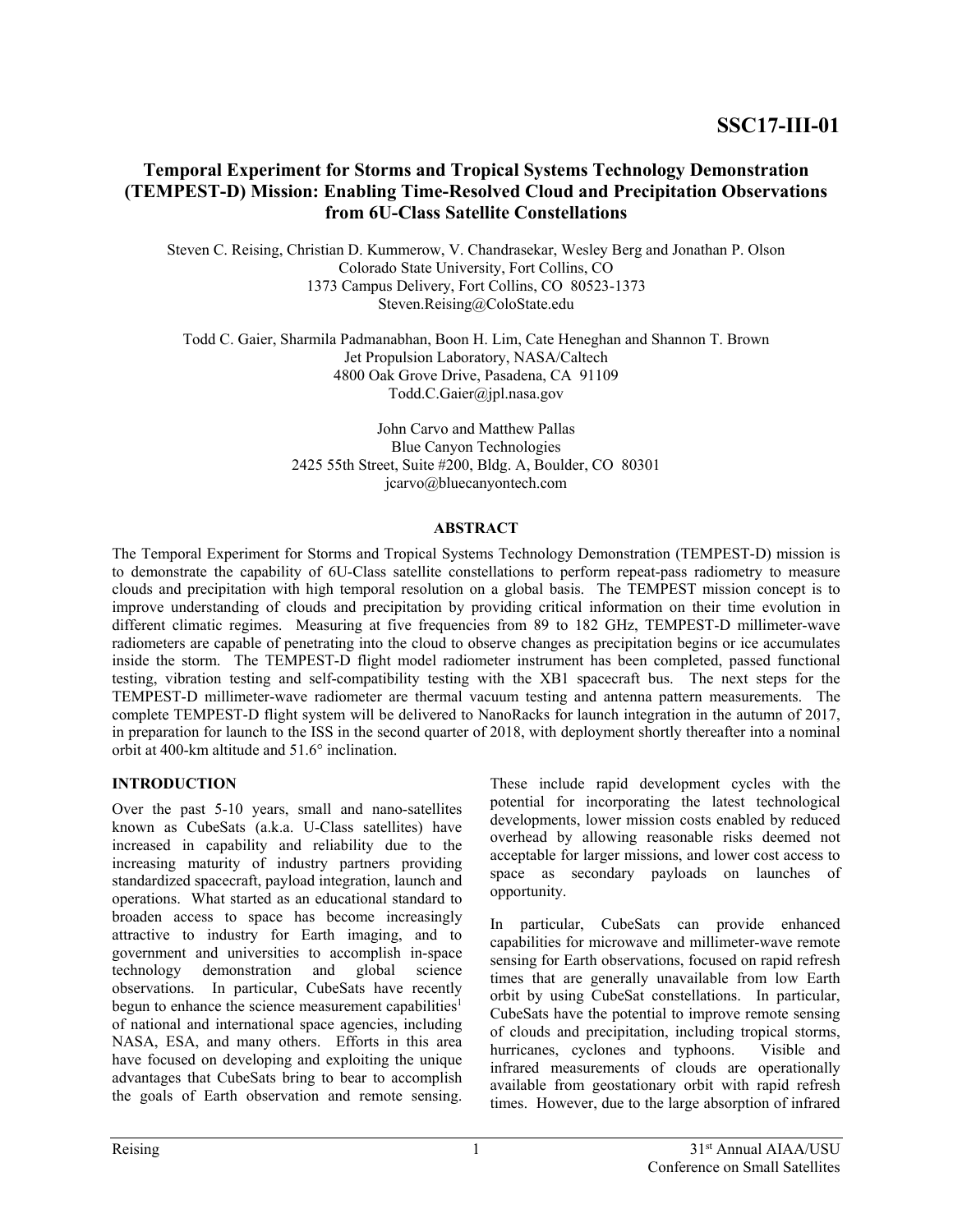# **Temporal Experiment for Storms and Tropical Systems Technology Demonstration (TEMPEST-D) Mission: Enabling Time-Resolved Cloud and Precipitation Observations from 6U-Class Satellite Constellations**

Steven C. Reising, Christian D. Kummerow, V. Chandrasekar, Wesley Berg and Jonathan P. Olson Colorado State University, Fort Collins, CO 1373 Campus Delivery, Fort Collins, CO 80523-1373 Steven.Reising@ColoState.edu

Todd C. Gaier, Sharmila Padmanabhan, Boon H. Lim, Cate Heneghan and Shannon T. Brown Jet Propulsion Laboratory, NASA/Caltech 4800 Oak Grove Drive, Pasadena, CA 91109 Todd.C.Gaier@jpl.nasa.gov

> John Carvo and Matthew Pallas Blue Canyon Technologies 2425 55th Street, Suite #200, Bldg. A, Boulder, CO 80301 jcarvo@bluecanyontech.com

#### **ABSTRACT**

The Temporal Experiment for Storms and Tropical Systems Technology Demonstration (TEMPEST-D) mission is to demonstrate the capability of 6U-Class satellite constellations to perform repeat-pass radiometry to measure clouds and precipitation with high temporal resolution on a global basis. The TEMPEST mission concept is to improve understanding of clouds and precipitation by providing critical information on their time evolution in different climatic regimes. Measuring at five frequencies from 89 to 182 GHz, TEMPEST-D millimeter-wave radiometers are capable of penetrating into the cloud to observe changes as precipitation begins or ice accumulates inside the storm. The TEMPEST-D flight model radiometer instrument has been completed, passed functional testing, vibration testing and self-compatibility testing with the XB1 spacecraft bus. The next steps for the TEMPEST-D millimeter-wave radiometer are thermal vacuum testing and antenna pattern measurements. The complete TEMPEST-D flight system will be delivered to NanoRacks for launch integration in the autumn of 2017, in preparation for launch to the ISS in the second quarter of 2018, with deployment shortly thereafter into a nominal orbit at 400-km altitude and 51.6° inclination.

## **INTRODUCTION**

Over the past 5-10 years, small and nano-satellites known as CubeSats (a.k.a. U-Class satellites) have increased in capability and reliability due to the increasing maturity of industry partners providing standardized spacecraft, payload integration, launch and operations. What started as an educational standard to broaden access to space has become increasingly attractive to industry for Earth imaging, and to government and universities to accomplish in-space technology demonstration and global science observations. In particular, CubeSats have recently begun to enhance the science measurement capabilities<sup>1</sup> of national and international space agencies, including NASA, ESA, and many others. Efforts in this area have focused on developing and exploiting the unique advantages that CubeSats bring to bear to accomplish the goals of Earth observation and remote sensing.

These include rapid development cycles with the potential for incorporating the latest technological developments, lower mission costs enabled by reduced overhead by allowing reasonable risks deemed not acceptable for larger missions, and lower cost access to space as secondary payloads on launches of opportunity.

In particular, CubeSats can provide enhanced capabilities for microwave and millimeter-wave remote sensing for Earth observations, focused on rapid refresh times that are generally unavailable from low Earth orbit by using CubeSat constellations. In particular, CubeSats have the potential to improve remote sensing of clouds and precipitation, including tropical storms, hurricanes, cyclones and typhoons. Visible and infrared measurements of clouds are operationally available from geostationary orbit with rapid refresh times. However, due to the large absorption of infrared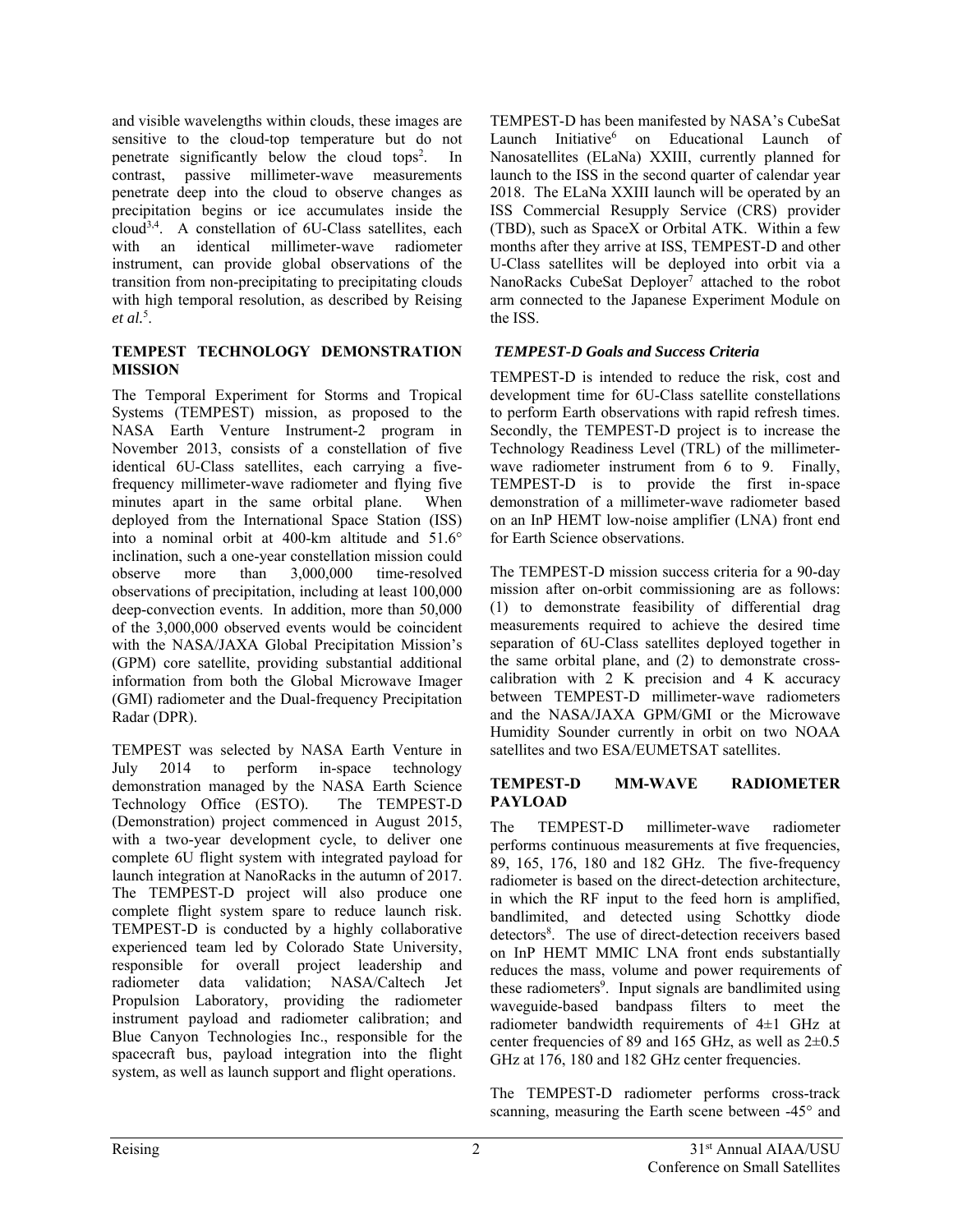and visible wavelengths within clouds, these images are sensitive to the cloud-top temperature but do not penetrate significantly below the cloud tops<sup>2</sup>. In contrast, passive millimeter-wave measurements penetrate deep into the cloud to observe changes as precipitation begins or ice accumulates inside the cloud3,4. A constellation of 6U-Class satellites, each with an identical millimeter-wave radiometer instrument, can provide global observations of the transition from non-precipitating to precipitating clouds with high temporal resolution, as described by Reising *et al.*<sup>5</sup> .

#### **TEMPEST TECHNOLOGY DEMONSTRATION MISSION**

The Temporal Experiment for Storms and Tropical Systems (TEMPEST) mission, as proposed to the NASA Earth Venture Instrument-2 program in November 2013, consists of a constellation of five identical 6U-Class satellites, each carrying a fivefrequency millimeter-wave radiometer and flying five minutes apart in the same orbital plane. When deployed from the International Space Station (ISS) into a nominal orbit at 400-km altitude and 51.6° inclination, such a one-year constellation mission could observe more than 3,000,000 time-resolved observations of precipitation, including at least 100,000 deep-convection events. In addition, more than 50,000 of the 3,000,000 observed events would be coincident with the NASA/JAXA Global Precipitation Mission's (GPM) core satellite, providing substantial additional information from both the Global Microwave Imager (GMI) radiometer and the Dual-frequency Precipitation Radar (DPR).

TEMPEST was selected by NASA Earth Venture in July 2014 to perform in-space technology demonstration managed by the NASA Earth Science Technology Office (ESTO). The TEMPEST-D (Demonstration) project commenced in August 2015, with a two-year development cycle, to deliver one complete 6U flight system with integrated payload for launch integration at NanoRacks in the autumn of 2017. The TEMPEST-D project will also produce one complete flight system spare to reduce launch risk. TEMPEST-D is conducted by a highly collaborative experienced team led by Colorado State University, responsible for overall project leadership and radiometer data validation; NASA/Caltech Jet Propulsion Laboratory, providing the radiometer instrument payload and radiometer calibration; and Blue Canyon Technologies Inc., responsible for the spacecraft bus, payload integration into the flight system, as well as launch support and flight operations.

TEMPEST-D has been manifested by NASA's CubeSat Launch Initiative<sup>6</sup> on Educational Launch of Nanosatellites (ELaNa) XXIII, currently planned for launch to the ISS in the second quarter of calendar year 2018. The ELaNa XXIII launch will be operated by an ISS Commercial Resupply Service (CRS) provider (TBD), such as SpaceX or Orbital ATK. Within a few months after they arrive at ISS, TEMPEST-D and other U-Class satellites will be deployed into orbit via a NanoRacks CubeSat Deployer<sup>7</sup> attached to the robot arm connected to the Japanese Experiment Module on the ISS.

## *TEMPEST-D Goals and Success Criteria*

TEMPEST-D is intended to reduce the risk, cost and development time for 6U-Class satellite constellations to perform Earth observations with rapid refresh times. Secondly, the TEMPEST-D project is to increase the Technology Readiness Level (TRL) of the millimeterwave radiometer instrument from 6 to 9. Finally, TEMPEST-D is to provide the first in-space demonstration of a millimeter-wave radiometer based on an InP HEMT low-noise amplifier (LNA) front end for Earth Science observations.

The TEMPEST-D mission success criteria for a 90-day mission after on-orbit commissioning are as follows: (1) to demonstrate feasibility of differential drag measurements required to achieve the desired time separation of 6U-Class satellites deployed together in the same orbital plane, and (2) to demonstrate crosscalibration with 2 K precision and 4 K accuracy between TEMPEST-D millimeter-wave radiometers and the NASA/JAXA GPM/GMI or the Microwave Humidity Sounder currently in orbit on two NOAA satellites and two ESA/EUMETSAT satellites.

## **TEMPEST-D MM-WAVE RADIOMETER PAYLOAD**

The TEMPEST-D millimeter-wave radiometer performs continuous measurements at five frequencies, 89, 165, 176, 180 and 182 GHz. The five-frequency radiometer is based on the direct-detection architecture, in which the RF input to the feed horn is amplified, bandlimited, and detected using Schottky diode detectors<sup>8</sup>. The use of direct-detection receivers based on InP HEMT MMIC LNA front ends substantially reduces the mass, volume and power requirements of these radiometers<sup>9</sup>. Input signals are bandlimited using waveguide-based bandpass filters to meet the radiometer bandwidth requirements of 4±1 GHz at center frequencies of 89 and 165 GHz, as well as  $2\pm 0.5$ GHz at 176, 180 and 182 GHz center frequencies.

The TEMPEST-D radiometer performs cross-track scanning, measuring the Earth scene between -45° and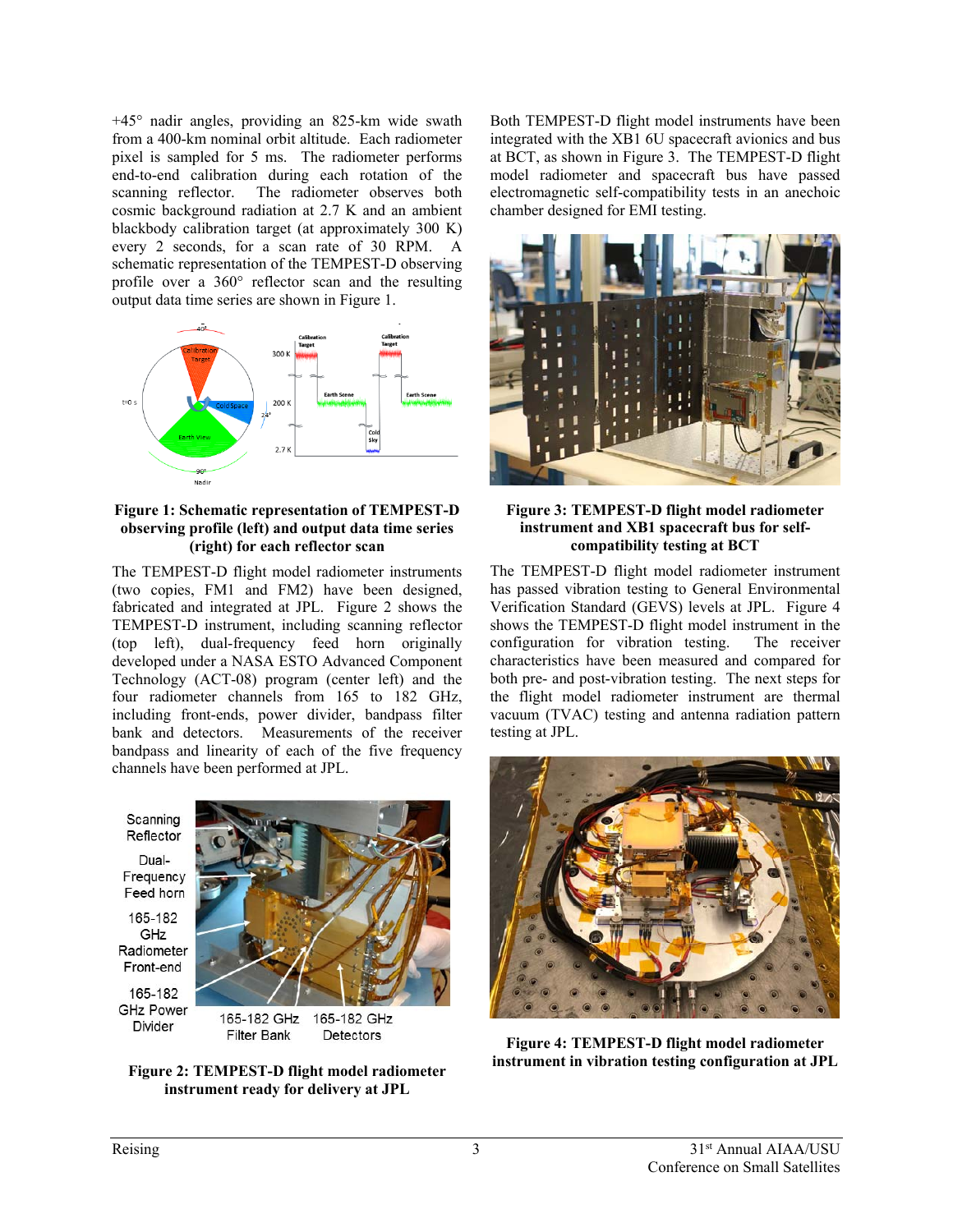+45° nadir angles, providing an 825-km wide swath from a 400-km nominal orbit altitude. Each radiometer pixel is sampled for 5 ms. The radiometer performs end-to-end calibration during each rotation of the scanning reflector. The radiometer observes both cosmic background radiation at 2.7 K and an ambient blackbody calibration target (at approximately 300 K) every 2 seconds, for a scan rate of 30 RPM. A schematic representation of the TEMPEST-D observing profile over a 360° reflector scan and the resulting output data time series are shown in Figure 1.



#### **Figure 1: Schematic representation of TEMPEST-D observing profile (left) and output data time series (right) for each reflector scan**

The TEMPEST-D flight model radiometer instruments (two copies, FM1 and FM2) have been designed, fabricated and integrated at JPL. Figure 2 shows the TEMPEST-D instrument, including scanning reflector (top left), dual-frequency feed horn originally developed under a NASA ESTO Advanced Component Technology (ACT-08) program (center left) and the four radiometer channels from 165 to 182 GHz, including front-ends, power divider, bandpass filter bank and detectors. Measurements of the receiver bandpass and linearity of each of the five frequency channels have been performed at JPL.

Scanning Reflector Dual-Frequency Feed horn 165-182 GHz Radiometer Front-end 165-182 **GHz Power** Divider **Filter Bank** 



Detectors

**Figure 2: TEMPEST-D flight model radiometer instrument ready for delivery at JPL** 

Both TEMPEST-D flight model instruments have been integrated with the XB1 6U spacecraft avionics and bus at BCT, as shown in Figure 3. The TEMPEST-D flight model radiometer and spacecraft bus have passed electromagnetic self-compatibility tests in an anechoic chamber designed for EMI testing.



#### **Figure 3: TEMPEST-D flight model radiometer instrument and XB1 spacecraft bus for selfcompatibility testing at BCT**

The TEMPEST-D flight model radiometer instrument has passed vibration testing to General Environmental Verification Standard (GEVS) levels at JPL. Figure 4 shows the TEMPEST-D flight model instrument in the configuration for vibration testing. The receiver characteristics have been measured and compared for both pre- and post-vibration testing. The next steps for the flight model radiometer instrument are thermal vacuum (TVAC) testing and antenna radiation pattern testing at JPL.



**Figure 4: TEMPEST-D flight model radiometer instrument in vibration testing configuration at JPL**